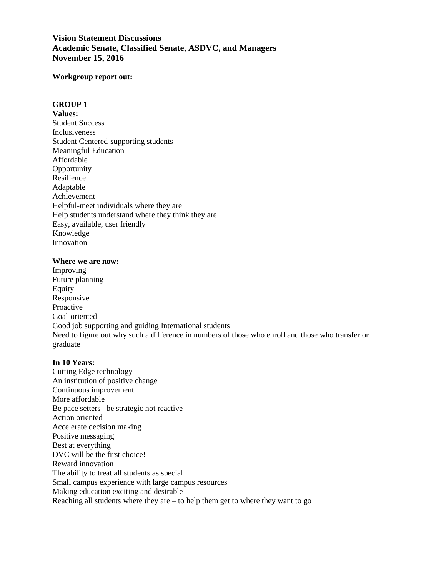# **Vision Statement Discussions Academic Senate, Classified Senate, ASDVC, and Managers November 15, 2016**

### **Workgroup report out:**

### **GROUP 1**

**Values:**  Student Success Inclusiveness Student Centered-supporting students Meaningful Education Affordable **Opportunity** Resilience Adaptable Achievement Helpful-meet individuals where they are Help students understand where they think they are Easy, available, user friendly Knowledge Innovation

#### **Where we are now:**

Improving Future planning Equity Responsive Proactive Goal-oriented Good job supporting and guiding International students Need to figure out why such a difference in numbers of those who enroll and those who transfer or graduate

# **In 10 Years:**

Cutting Edge technology An institution of positive change Continuous improvement More affordable Be pace setters –be strategic not reactive Action oriented Accelerate decision making Positive messaging Best at everything DVC will be the first choice! Reward innovation The ability to treat all students as special Small campus experience with large campus resources Making education exciting and desirable Reaching all students where they are – to help them get to where they want to go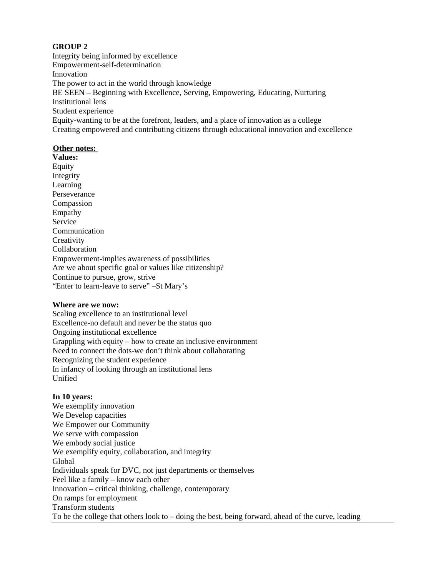Integrity being informed by excellence Empowerment-self-determination Innovation The power to act in the world through knowledge BE SEEN – Beginning with Excellence, Serving, Empowering, Educating, Nurturing Institutional lens Student experience Equity-wanting to be at the forefront, leaders, and a place of innovation as a college Creating empowered and contributing citizens through educational innovation and excellence

# **Other notes:**

**Values:**  Equity Integrity Learning Perseverance Compassion Empathy Service Communication **Creativity** Collaboration Empowerment-implies awareness of possibilities Are we about specific goal or values like citizenship? Continue to pursue, grow, strive "Enter to learn-leave to serve" –St Mary's

# **Where are we now:**

Scaling excellence to an institutional level Excellence-no default and never be the status quo Ongoing institutional excellence Grappling with equity – how to create an inclusive environment Need to connect the dots-we don't think about collaborating Recognizing the student experience In infancy of looking through an institutional lens Unified

# **In 10 years:**

We exemplify innovation We Develop capacities We Empower our Community We serve with compassion We embody social justice We exemplify equity, collaboration, and integrity Global Individuals speak for DVC, not just departments or themselves Feel like a family – know each other Innovation – critical thinking, challenge, contemporary On ramps for employment Transform students To be the college that others look to – doing the best, being forward, ahead of the curve, leading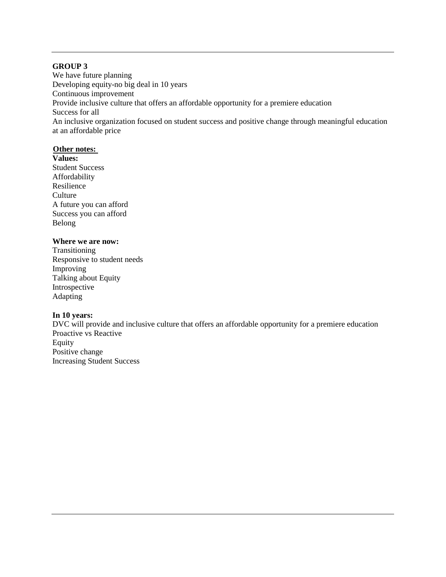We have future planning Developing equity-no big deal in 10 years Continuous improvement Provide inclusive culture that offers an affordable opportunity for a premiere education Success for all An inclusive organization focused on student success and positive change through meaningful education at an affordable price

### **Other notes:**

**Values:**  Student Success Affordability Resilience **Culture** A future you can afford Success you can afford Belong

# **Where we are now:**

Transitioning Responsive to student needs Improving Talking about Equity Introspective Adapting

# **In 10 years:**

DVC will provide and inclusive culture that offers an affordable opportunity for a premiere education Proactive vs Reactive Equity Positive change Increasing Student Success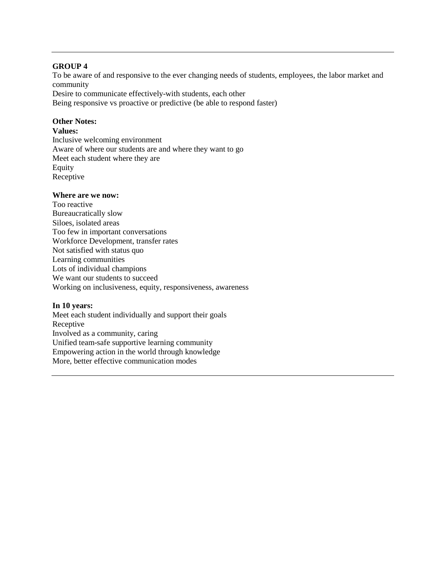To be aware of and responsive to the ever changing needs of students, employees, the labor market and community

Desire to communicate effectively-with students, each other

Being responsive vs proactive or predictive (be able to respond faster)

# **Other Notes:**

### **Values:**

Inclusive welcoming environment Aware of where our students are and where they want to go Meet each student where they are Equity Receptive

### **Where are we now:**

Too reactive Bureaucratically slow Siloes, isolated areas Too few in important conversations Workforce Development, transfer rates Not satisfied with status quo Learning communities Lots of individual champions We want our students to succeed Working on inclusiveness, equity, responsiveness, awareness

# **In 10 years:**

Meet each student individually and support their goals Receptive Involved as a community, caring Unified team-safe supportive learning community Empowering action in the world through knowledge More, better effective communication modes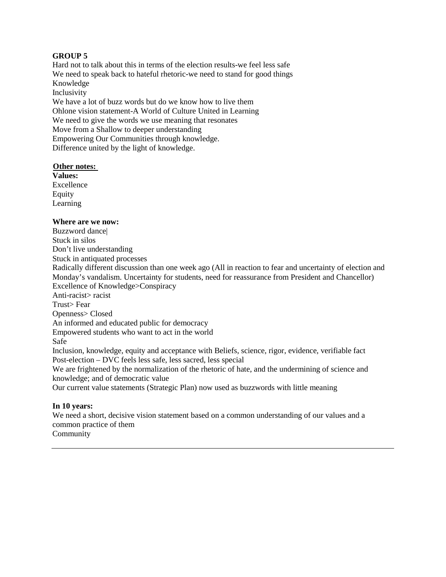Hard not to talk about this in terms of the election results-we feel less safe We need to speak back to hateful rhetoric-we need to stand for good things Knowledge Inclusivity We have a lot of buzz words but do we know how to live them Ohlone vision statement-A World of Culture United in Learning We need to give the words we use meaning that resonates

Move from a Shallow to deeper understanding Empowering Our Communities through knowledge.

Difference united by the light of knowledge.

### **Other notes:**

**Values:**  Excellence **Equity** Learning

### **Where are we now:**

Buzzword dance| Stuck in silos Don't live understanding Stuck in antiquated processes Radically different discussion than one week ago (All in reaction to fear and uncertainty of election and Monday's vandalism. Uncertainty for students, need for reassurance from President and Chancellor) Excellence of Knowledge>Conspiracy Anti-racist> racist Trust> Fear Openness> Closed An informed and educated public for democracy Empowered students who want to act in the world Safe Inclusion, knowledge, equity and acceptance with Beliefs, science, rigor, evidence, verifiable fact Post-election – DVC feels less safe, less sacred, less special We are frightened by the normalization of the rhetoric of hate, and the undermining of science and knowledge; and of democratic value

Our current value statements (Strategic Plan) now used as buzzwords with little meaning

#### **In 10 years:**

We need a short, decisive vision statement based on a common understanding of our values and a common practice of them Community